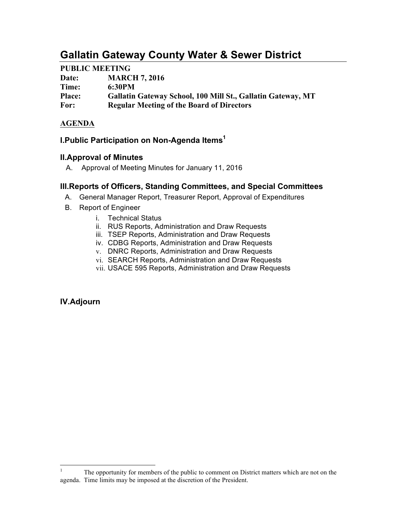# **Gallatin Gateway County Water & Sewer District**

### **PUBLIC MEETING**

| Date:         | <b>MARCH 7, 2016</b>                                        |
|---------------|-------------------------------------------------------------|
| Time:         | 6:30PM                                                      |
| <b>Place:</b> | Gallatin Gateway School, 100 Mill St., Gallatin Gateway, MT |
| For:          | <b>Regular Meeting of the Board of Directors</b>            |

# **AGENDA**

# **I.Public Participation on Non-Agenda Items1**

### **II.Approval of Minutes**

A. Approval of Meeting Minutes for January 11, 2016

### **III.Reports of Officers, Standing Committees, and Special Committees**

- A. General Manager Report, Treasurer Report, Approval of Expenditures
- B. Report of Engineer
	- i. Technical Status
	- ii. RUS Reports, Administration and Draw Requests
	- iii. TSEP Reports, Administration and Draw Requests
	- iv. CDBG Reports, Administration and Draw Requests
	- v. DNRC Reports, Administration and Draw Requests
	- vi. SEARCH Reports, Administration and Draw Requests
	- vii. USACE 595 Reports, Administration and Draw Requests

### **IV.Adjourn**

<sup>&</sup>lt;sup>1</sup> The opportunity for members of the public to comment on District matters which are not on the agenda. Time limits may be imposed at the discretion of the President.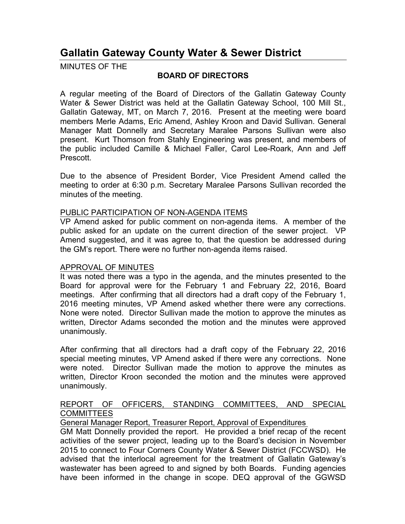# **Gallatin Gateway County Water & Sewer District**

MINUTES OF THE

### **BOARD OF DIRECTORS**

A regular meeting of the Board of Directors of the Gallatin Gateway County Water & Sewer District was held at the Gallatin Gateway School, 100 Mill St., Gallatin Gateway, MT, on March 7, 2016. Present at the meeting were board members Merle Adams, Eric Amend, Ashley Kroon and David Sullivan. General Manager Matt Donnelly and Secretary Maralee Parsons Sullivan were also present. Kurt Thomson from Stahly Engineering was present, and members of the public included Camille & Michael Faller, Carol Lee-Roark, Ann and Jeff Prescott.

Due to the absence of President Border, Vice President Amend called the meeting to order at 6:30 p.m. Secretary Maralee Parsons Sullivan recorded the minutes of the meeting.

#### PUBLIC PARTICIPATION OF NON-AGENDA ITEMS

VP Amend asked for public comment on non-agenda items. A member of the public asked for an update on the current direction of the sewer project. VP Amend suggested, and it was agree to, that the question be addressed during the GM's report. There were no further non-agenda items raised.

### APPROVAL OF MINUTES

It was noted there was a typo in the agenda, and the minutes presented to the Board for approval were for the February 1 and February 22, 2016, Board meetings. After confirming that all directors had a draft copy of the February 1, 2016 meeting minutes, VP Amend asked whether there were any corrections. None were noted. Director Sullivan made the motion to approve the minutes as written, Director Adams seconded the motion and the minutes were approved unanimously.

After confirming that all directors had a draft copy of the February 22, 2016 special meeting minutes, VP Amend asked if there were any corrections. None were noted. Director Sullivan made the motion to approve the minutes as written, Director Kroon seconded the motion and the minutes were approved unanimously.

### REPORT OF OFFICERS, STANDING COMMITTEES, AND SPECIAL **COMMITTEES**

General Manager Report, Treasurer Report, Approval of Expenditures

GM Matt Donnelly provided the report. He provided a brief recap of the recent activities of the sewer project, leading up to the Board's decision in November 2015 to connect to Four Corners County Water & Sewer District (FCCWSD). He advised that the interlocal agreement for the treatment of Gallatin Gateway's wastewater has been agreed to and signed by both Boards. Funding agencies have been informed in the change in scope. DEQ approval of the GGWSD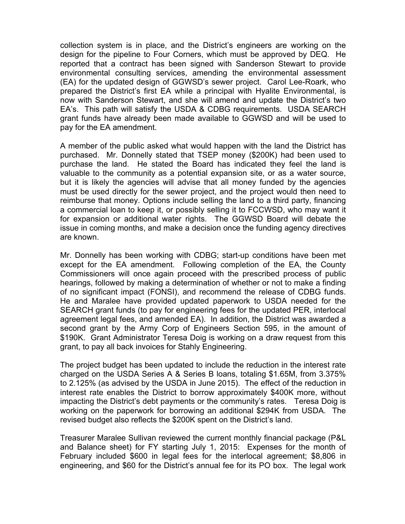collection system is in place, and the District's engineers are working on the design for the pipeline to Four Corners, which must be approved by DEQ. He reported that a contract has been signed with Sanderson Stewart to provide environmental consulting services, amending the environmental assessment (EA) for the updated design of GGWSD's sewer project. Carol Lee-Roark, who prepared the District's first EA while a principal with Hyalite Environmental, is now with Sanderson Stewart, and she will amend and update the District's two EA's. This path will satisfy the USDA & CDBG requirements. USDA SEARCH grant funds have already been made available to GGWSD and will be used to pay for the EA amendment.

A member of the public asked what would happen with the land the District has purchased. Mr. Donnelly stated that TSEP money (\$200K) had been used to purchase the land. He stated the Board has indicated they feel the land is valuable to the community as a potential expansion site, or as a water source, but it is likely the agencies will advise that all money funded by the agencies must be used directly for the sewer project, and the project would then need to reimburse that money. Options include selling the land to a third party, financing a commercial loan to keep it, or possibly selling it to FCCWSD, who may want it for expansion or additional water rights. The GGWSD Board will debate the issue in coming months, and make a decision once the funding agency directives are known.

Mr. Donnelly has been working with CDBG; start-up conditions have been met except for the EA amendment. Following completion of the EA, the County Commissioners will once again proceed with the prescribed process of public hearings, followed by making a determination of whether or not to make a finding of no significant impact (FONSI), and recommend the release of CDBG funds. He and Maralee have provided updated paperwork to USDA needed for the SEARCH grant funds (to pay for engineering fees for the updated PER, interlocal agreement legal fees, and amended EA). In addition, the District was awarded a second grant by the Army Corp of Engineers Section 595, in the amount of \$190K. Grant Administrator Teresa Doig is working on a draw request from this grant, to pay all back invoices for Stahly Engineering.

The project budget has been updated to include the reduction in the interest rate charged on the USDA Series A & Series B loans, totaling \$1.65M, from 3.375% to 2.125% (as advised by the USDA in June 2015). The effect of the reduction in interest rate enables the District to borrow approximately \$400K more, without impacting the District's debt payments or the community's rates. Teresa Doig is working on the paperwork for borrowing an additional \$294K from USDA. The revised budget also reflects the \$200K spent on the District's land.

Treasurer Maralee Sullivan reviewed the current monthly financial package (P&L and Balance sheet) for FY starting July 1, 2015: Expenses for the month of February included \$600 in legal fees for the interlocal agreement; \$8,806 in engineering, and \$60 for the District's annual fee for its PO box. The legal work